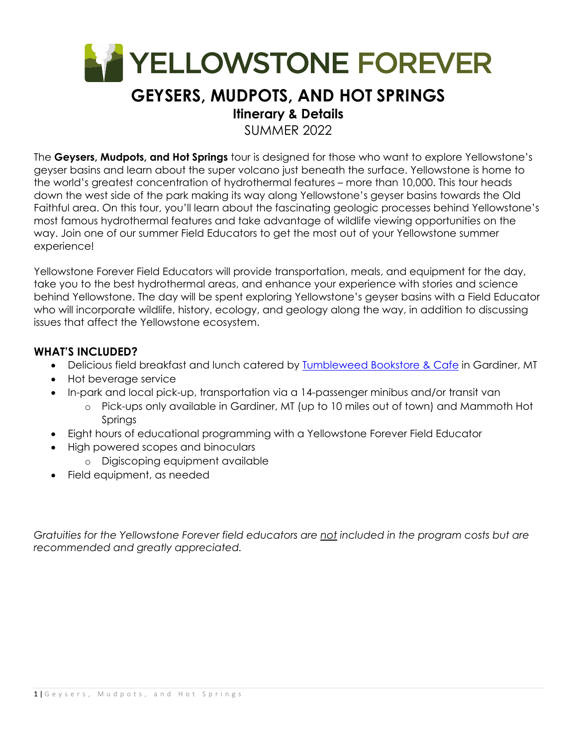

# **GEYSERS, MUDPOTS, AND HOT SPRINGS**

## **Itinerary & Details**

SUMMER 2022

The **Geysers, Mudpots, and Hot Springs** tour is designed for those who want to explore Yellowstone's geyser basins and learn about the super volcano just beneath the surface. Yellowstone is home to the world's greatest concentration of hydrothermal features – more than 10,000. This tour heads down the west side of the park making its way along Yellowstone's geyser basins towards the Old Faithful area. On this tour, you'll learn about the fascinating geologic processes behind Yellowstone's most famous hydrothermal features and take advantage of wildlife viewing opportunities on the way. Join one of our summer Field Educators to get the most out of your Yellowstone summer experience!

Yellowstone Forever Field Educators will provide transportation, meals, and equipment for the day, take you to the best hydrothermal areas, and enhance your experience with stories and science behind Yellowstone. The day will be spent exploring Yellowstone's geyser basins with a Field Educator who will incorporate wildlife, history, ecology, and geology along the way, in addition to discussing issues that affect the Yellowstone ecosystem.

### **WHAT'S INCLUDED?**

- Delicious field breakfast and lunch catered by Tumbleweed Bookstore & Cafe in Gardiner, MT
- Hot beverage service
- In-park and local pick-up, transportation via a 14-passenger minibus and/or transit van
	- o Pick-ups only available in Gardiner, MT (up to 10 miles out of town) and Mammoth Hot Springs
- Eight hours of educational programming with a Yellowstone Forever Field Educator
- High powered scopes and binoculars
	- o Digiscoping equipment available
- Field equipment, as needed

*Gratuities for the Yellowstone Forever field educators are not included in the program costs but are recommended and greatly appreciated.*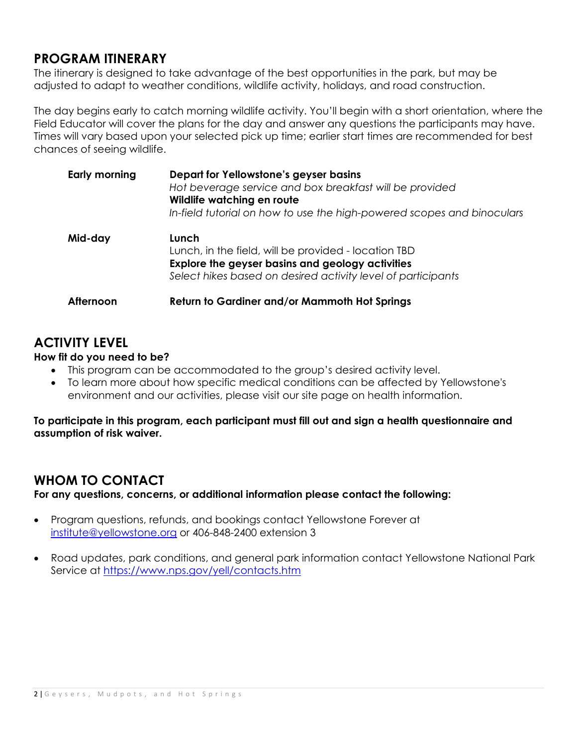### **PROGRAM ITINERARY**

The itinerary is designed to take advantage of the best opportunities in the park, but may be adjusted to adapt to weather conditions, wildlife activity, holidays, and road construction.

The day begins early to catch morning wildlife activity. You'll begin with a short orientation, where the Field Educator will cover the plans for the day and answer any questions the participants may have. Times will vary based upon your selected pick up time; earlier start times are recommended for best chances of seeing wildlife.

| <b>Early morning</b> | Depart for Yellowstone's geyser basins<br>Hot beverage service and box breakfast will be provided<br>Wildlife watching en route<br>In-field tutorial on how to use the high-powered scopes and binoculars |
|----------------------|-----------------------------------------------------------------------------------------------------------------------------------------------------------------------------------------------------------|
| Mid-day              | Lunch<br>Lunch, in the field, will be provided - location TBD<br>Explore the geyser basins and geology activities<br>Select hikes based on desired activity level of participants                         |
| Afternoon            | Return to Gardiner and/or Mammoth Hot Springs                                                                                                                                                             |

# **ACTIVITY LEVEL**

#### **How fit do you need to be?**

- This program can be accommodated to the group's desired activity level.
- To learn more about how specific medical conditions can be affected by Yellowstone's environment and our activities, please visit our site page on health information.

**To participate in this program, each participant must fill out and sign a health questionnaire and assumption of risk waiver.** 

## **WHOM TO CONTACT**

**For any questions, concerns, or additional information please contact the following:** 

- Program questions, refunds, and bookings contact Yellowstone Forever at institute@yellowstone.org or 406-848-2400 extension 3
- Road updates, park conditions, and general park information contact Yellowstone National Park Service at https://www.nps.gov/yell/contacts.htm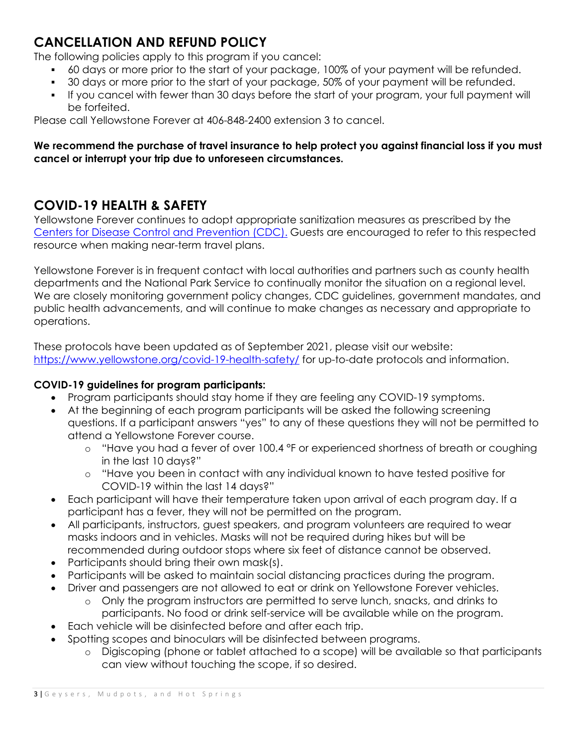# **CANCELLATION AND REFUND POLICY**

The following policies apply to this program if you cancel:

- 60 days or more prior to the start of your package, 100% of your payment will be refunded.
- 30 days or more prior to the start of your package, 50% of your payment will be refunded.
- If you cancel with fewer than 30 days before the start of your program, your full payment will be forfeited.

Please call Yellowstone Forever at 406-848-2400 extension 3 to cancel.

### **We recommend the purchase of travel insurance to help protect you against financial loss if you must cancel or interrupt your trip due to unforeseen circumstances.**

# **COVID-19 HEALTH & SAFETY**

Yellowstone Forever continues to adopt appropriate sanitization measures as prescribed by the Centers for Disease Control and Prevention (CDC). Guests are encouraged to refer to this respected resource when making near-term travel plans.

Yellowstone Forever is in frequent contact with local authorities and partners such as county health departments and the National Park Service to continually monitor the situation on a regional level. We are closely monitoring government policy changes, CDC guidelines, government mandates, and public health advancements, and will continue to make changes as necessary and appropriate to operations.

These protocols have been updated as of September 2021, please visit our website: https://www.yellowstone.org/covid-19-health-safety/ for up-to-date protocols and information.

### **COVID-19 guidelines for program participants:**

- Program participants should stay home if they are feeling any COVID-19 symptoms.
- At the beginning of each program participants will be asked the following screening questions. If a participant answers "yes" to any of these questions they will not be permitted to attend a Yellowstone Forever course.
	- o "Have you had a fever of over 100.4 °F or experienced shortness of breath or coughing in the last 10 days?"
	- o "Have you been in contact with any individual known to have tested positive for COVID-19 within the last 14 days?"
- Each participant will have their temperature taken upon arrival of each program day. If a participant has a fever, they will not be permitted on the program.
- All participants, instructors, guest speakers, and program volunteers are required to wear masks indoors and in vehicles. Masks will not be required during hikes but will be recommended during outdoor stops where six feet of distance cannot be observed.
- Participants should bring their own mask(s).
- Participants will be asked to maintain social distancing practices during the program.
- Driver and passengers are not allowed to eat or drink on Yellowstone Forever vehicles.
	- o Only the program instructors are permitted to serve lunch, snacks, and drinks to participants. No food or drink self-service will be available while on the program.
- Each vehicle will be disinfected before and after each trip.
- Spotting scopes and binoculars will be disinfected between programs.
	- o Digiscoping (phone or tablet attached to a scope) will be available so that participants can view without touching the scope, if so desired.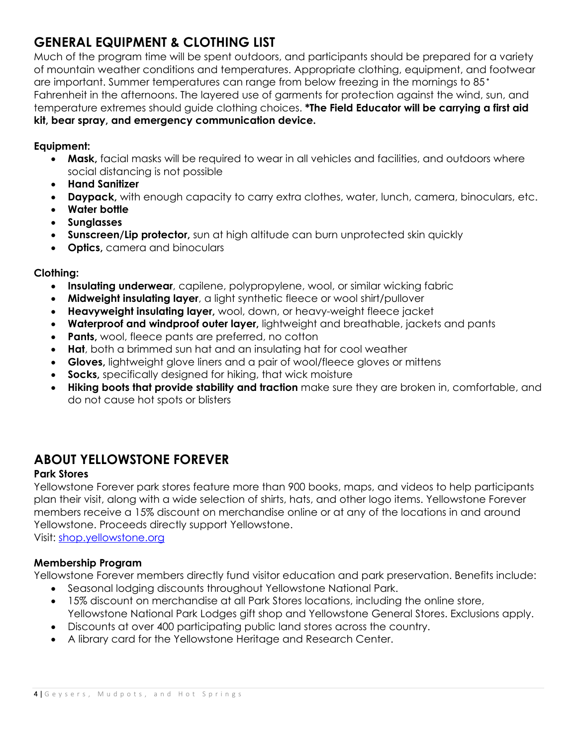# **GENERAL EQUIPMENT & CLOTHING LIST**

Much of the program time will be spent outdoors, and participants should be prepared for a variety of mountain weather conditions and temperatures. Appropriate clothing, equipment, and footwear are important. Summer temperatures can range from below freezing in the mornings to 85° Fahrenheit in the afternoons. The layered use of garments for protection against the wind, sun, and temperature extremes should guide clothing choices. **\*The Field Educator will be carrying a first aid kit, bear spray, and emergency communication device.**

#### **Equipment:**

- **Mask,** facial masks will be required to wear in all vehicles and facilities, and outdoors where social distancing is not possible
- **Hand Sanitizer**
- **Daypack,** with enough capacity to carry extra clothes, water, lunch, camera, binoculars, etc.
- **Water bottle**
- **Sunglasses**
- **Sunscreen/Lip protector,** sun at high altitude can burn unprotected skin quickly
- **Optics,** camera and binoculars

#### **Clothing:**

- **Insulating underwear**, capilene, polypropylene, wool, or similar wicking fabric
- **Midweight insulating layer**, a light synthetic fleece or wool shirt/pullover
- **Heavyweight insulating layer,** wool, down, or heavy-weight fleece jacket
- **Waterproof and windproof outer layer,** lightweight and breathable, jackets and pants
- **Pants,** wool, fleece pants are preferred, no cotton
- **Hat**, both a brimmed sun hat and an insulating hat for cool weather
- **Gloves,** lightweight glove liners and a pair of wool/fleece gloves or mittens
- **Socks,** specifically designed for hiking, that wick moisture
- **Hiking boots that provide stability and traction** make sure they are broken in, comfortable, and do not cause hot spots or blisters

### **ABOUT YELLOWSTONE FOREVER**

#### **Park Stores**

Yellowstone Forever park stores feature more than 900 books, maps, and videos to help participants plan their visit, along with a wide selection of shirts, hats, and other logo items. Yellowstone Forever members receive a 15% discount on merchandise online or at any of the locations in and around Yellowstone. Proceeds directly support Yellowstone.

Visit: shop.yellowstone.org

#### **Membership Program**

Yellowstone Forever members directly fund visitor education and park preservation. Benefits include:

- Seasonal lodging discounts throughout Yellowstone National Park.
- 15% discount on merchandise at all Park Stores locations, including the online store, Yellowstone National Park Lodges gift shop and Yellowstone General Stores. Exclusions apply.
- Discounts at over 400 participating public land stores across the country.
- A library card for the Yellowstone Heritage and Research Center.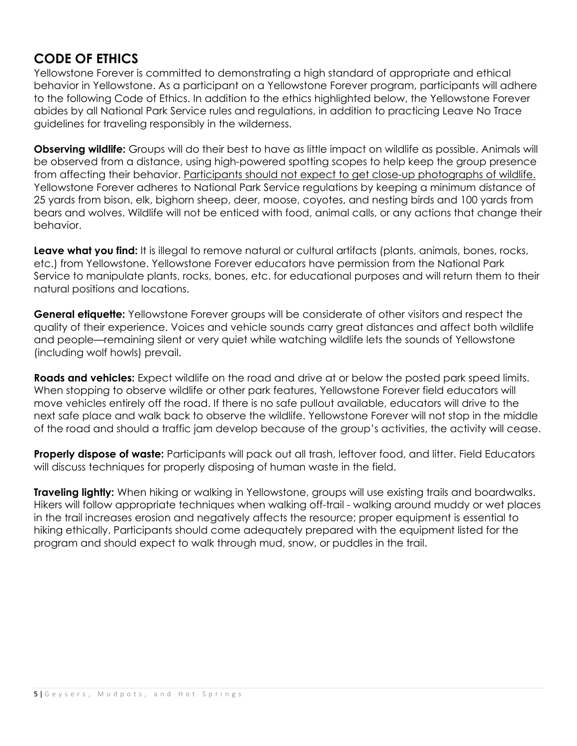## **CODE OF ETHICS**

Yellowstone Forever is committed to demonstrating a high standard of appropriate and ethical behavior in Yellowstone. As a participant on a Yellowstone Forever program, participants will adhere to the following Code of Ethics. In addition to the ethics highlighted below, the Yellowstone Forever abides by all National Park Service rules and regulations, in addition to practicing Leave No Trace guidelines for traveling responsibly in the wilderness.

**Observing wildlife:** Groups will do their best to have as little impact on wildlife as possible. Animals will be observed from a distance, using high-powered spotting scopes to help keep the group presence from affecting their behavior. Participants should not expect to get close-up photographs of wildlife. Yellowstone Forever adheres to National Park Service regulations by keeping a minimum distance of 25 yards from bison, elk, bighorn sheep, deer, moose, coyotes, and nesting birds and 100 yards from bears and wolves. Wildlife will not be enticed with food, animal calls, or any actions that change their behavior.

**Leave what you find:** It is illegal to remove natural or cultural artifacts (plants, animals, bones, rocks, etc.) from Yellowstone. Yellowstone Forever educators have permission from the National Park Service to manipulate plants, rocks, bones, etc. for educational purposes and will return them to their natural positions and locations.

**General etiquette:** Yellowstone Forever groups will be considerate of other visitors and respect the quality of their experience. Voices and vehicle sounds carry great distances and affect both wildlife and people—remaining silent or very quiet while watching wildlife lets the sounds of Yellowstone (including wolf howls) prevail.

**Roads and vehicles:** Expect wildlife on the road and drive at or below the posted park speed limits. When stopping to observe wildlife or other park features, Yellowstone Forever field educators will move vehicles entirely off the road. If there is no safe pullout available, educators will drive to the next safe place and walk back to observe the wildlife. Yellowstone Forever will not stop in the middle of the road and should a traffic jam develop because of the group's activities, the activity will cease.

**Properly dispose of waste:** Participants will pack out all trash, leftover food, and litter. Field Educators will discuss techniques for properly disposing of human waste in the field.

**Traveling lightly:** When hiking or walking in Yellowstone, groups will use existing trails and boardwalks. Hikers will follow appropriate techniques when walking off-trail - walking around muddy or wet places in the trail increases erosion and negatively affects the resource; proper equipment is essential to hiking ethically. Participants should come adequately prepared with the equipment listed for the program and should expect to walk through mud, snow, or puddles in the trail.